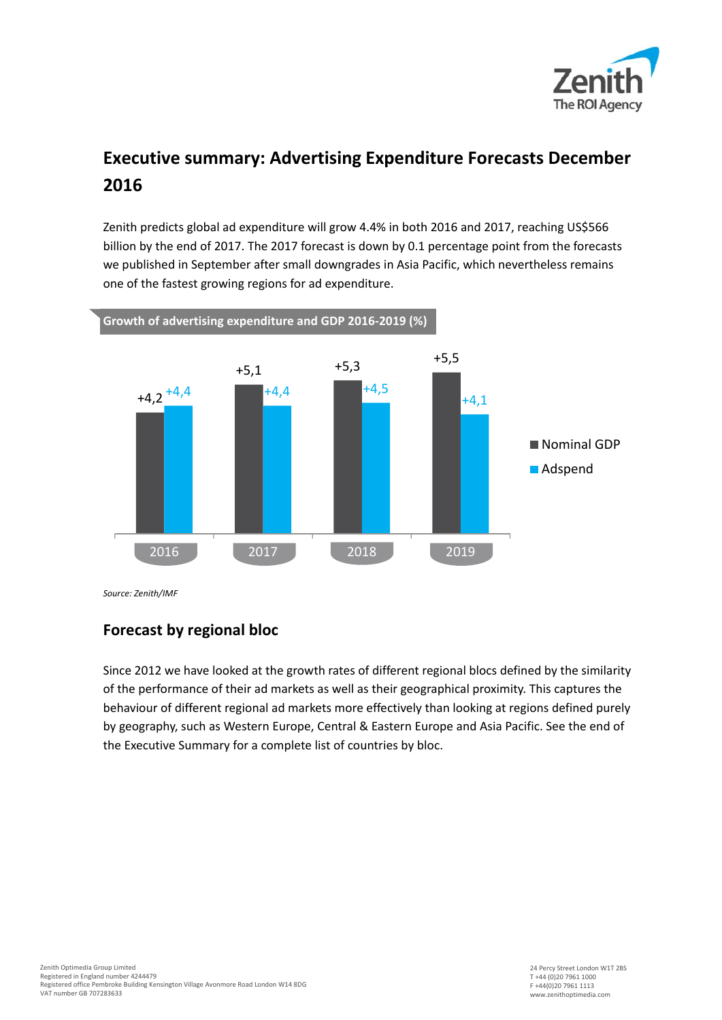

# **Executive summary: Advertising Expenditure Forecasts December 2016**

Zenith predicts global ad expenditure will grow 4.4% in both 2016 and 2017, reaching US\$566 billion by the end of 2017. The 2017 forecast is down by 0.1 percentage point from the forecasts we published in September after small downgrades in Asia Pacific, which nevertheless remains one of the fastest growing regions for ad expenditure.



*Source: Zenith/IMF* 

# **Forecast by regional bloc**

Since 2012 we have looked at the growth rates of different regional blocs defined by the similarity of the performance of their ad markets as well as their geographical proximity. This captures the behaviour of different regional ad markets more effectively than looking at regions defined purely by geography, such as Western Europe, Central & Eastern Europe and Asia Pacific. See the end of the Executive Summary for a complete list of countries by bloc.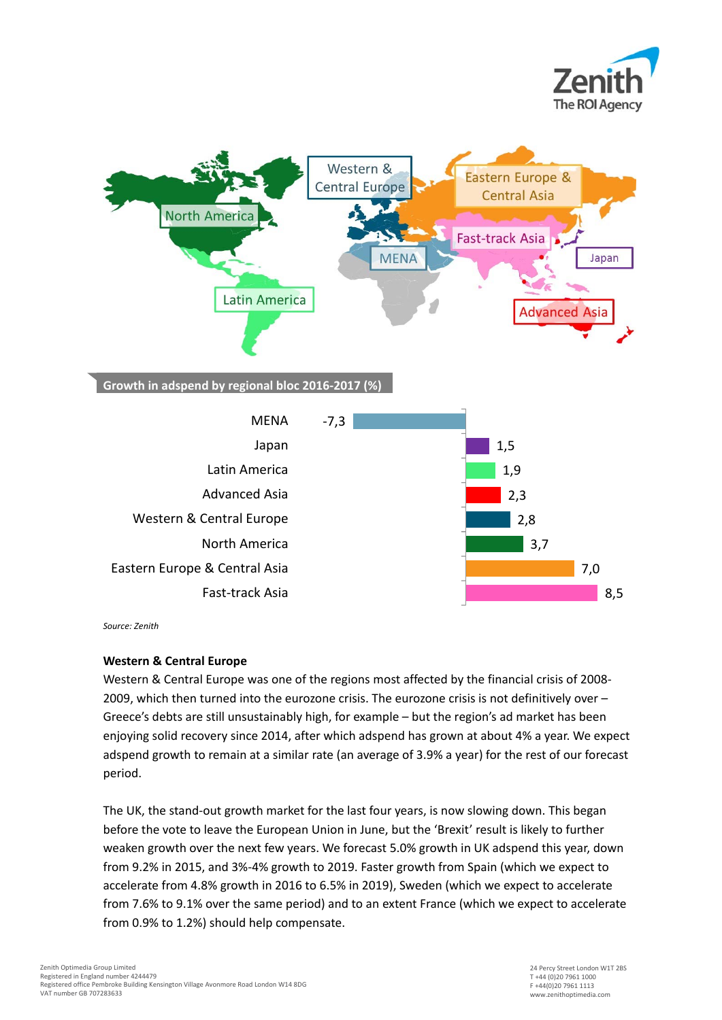



*Source: Zenith* 

#### **Western & Central Europe**

Western & Central Europe was one of the regions most affected by the financial crisis of 2008- 2009, which then turned into the eurozone crisis. The eurozone crisis is not definitively over – Greece's debts are still unsustainably high, for example – but the region's ad market has been enjoying solid recovery since 2014, after which adspend has grown at about 4% a year. We expect adspend growth to remain at a similar rate (an average of 3.9% a year) for the rest of our forecast period.

The UK, the stand-out growth market for the last four years, is now slowing down. This began before the vote to leave the European Union in June, but the 'Brexit' result is likely to further weaken growth over the next few years. We forecast 5.0% growth in UK adspend this year, down from 9.2% in 2015, and 3%-4% growth to 2019. Faster growth from Spain (which we expect to accelerate from 4.8% growth in 2016 to 6.5% in 2019), Sweden (which we expect to accelerate from 7.6% to 9.1% over the same period) and to an extent France (which we expect to accelerate from 0.9% to 1.2%) should help compensate.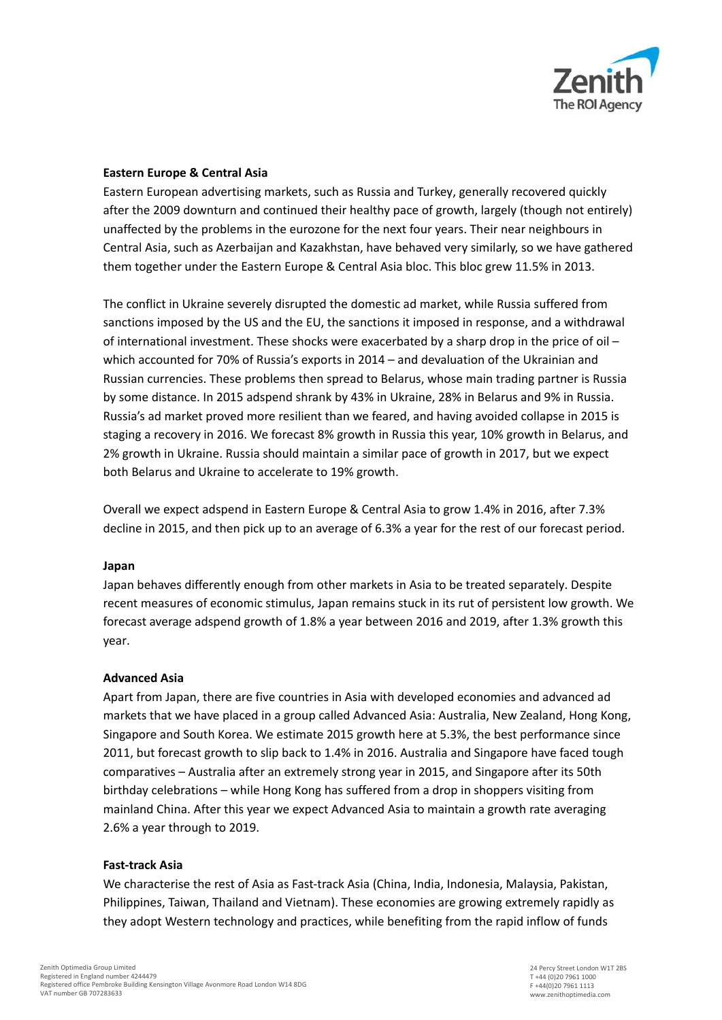

#### **Eastern Europe & Central Asia**

Eastern European advertising markets, such as Russia and Turkey, generally recovered quickly after the 2009 downturn and continued their healthy pace of growth, largely (though not entirely) unaffected by the problems in the eurozone for the next four years. Their near neighbours in Central Asia, such as Azerbaijan and Kazakhstan, have behaved very similarly, so we have gathered them together under the Eastern Europe & Central Asia bloc. This bloc grew 11.5% in 2013.

The conflict in Ukraine severely disrupted the domestic ad market, while Russia suffered from sanctions imposed by the US and the EU, the sanctions it imposed in response, and a withdrawal of international investment. These shocks were exacerbated by a sharp drop in the price of oil – which accounted for 70% of Russia's exports in 2014 – and devaluation of the Ukrainian and Russian currencies. These problems then spread to Belarus, whose main trading partner is Russia by some distance. In 2015 adspend shrank by 43% in Ukraine, 28% in Belarus and 9% in Russia. Russia's ad market proved more resilient than we feared, and having avoided collapse in 2015 is staging a recovery in 2016. We forecast 8% growth in Russia this year, 10% growth in Belarus, and 2% growth in Ukraine. Russia should maintain a similar pace of growth in 2017, but we expect both Belarus and Ukraine to accelerate to 19% growth.

Overall we expect adspend in Eastern Europe & Central Asia to grow 1.4% in 2016, after 7.3% decline in 2015, and then pick up to an average of 6.3% a year for the rest of our forecast period.

#### **Japan**

Japan behaves differently enough from other markets in Asia to be treated separately. Despite recent measures of economic stimulus, Japan remains stuck in its rut of persistent low growth. We forecast average adspend growth of 1.8% a year between 2016 and 2019, after 1.3% growth this year.

#### **Advanced Asia**

Apart from Japan, there are five countries in Asia with developed economies and advanced ad markets that we have placed in a group called Advanced Asia: Australia, New Zealand, Hong Kong, Singapore and South Korea. We estimate 2015 growth here at 5.3%, the best performance since 2011, but forecast growth to slip back to 1.4% in 2016. Australia and Singapore have faced tough comparatives – Australia after an extremely strong year in 2015, and Singapore after its 50th birthday celebrations – while Hong Kong has suffered from a drop in shoppers visiting from mainland China. After this year we expect Advanced Asia to maintain a growth rate averaging 2.6% a year through to 2019.

#### **Fast-track Asia**

We characterise the rest of Asia as Fast-track Asia (China, India, Indonesia, Malaysia, Pakistan, Philippines, Taiwan, Thailand and Vietnam). These economies are growing extremely rapidly as they adopt Western technology and practices, while benefiting from the rapid inflow of funds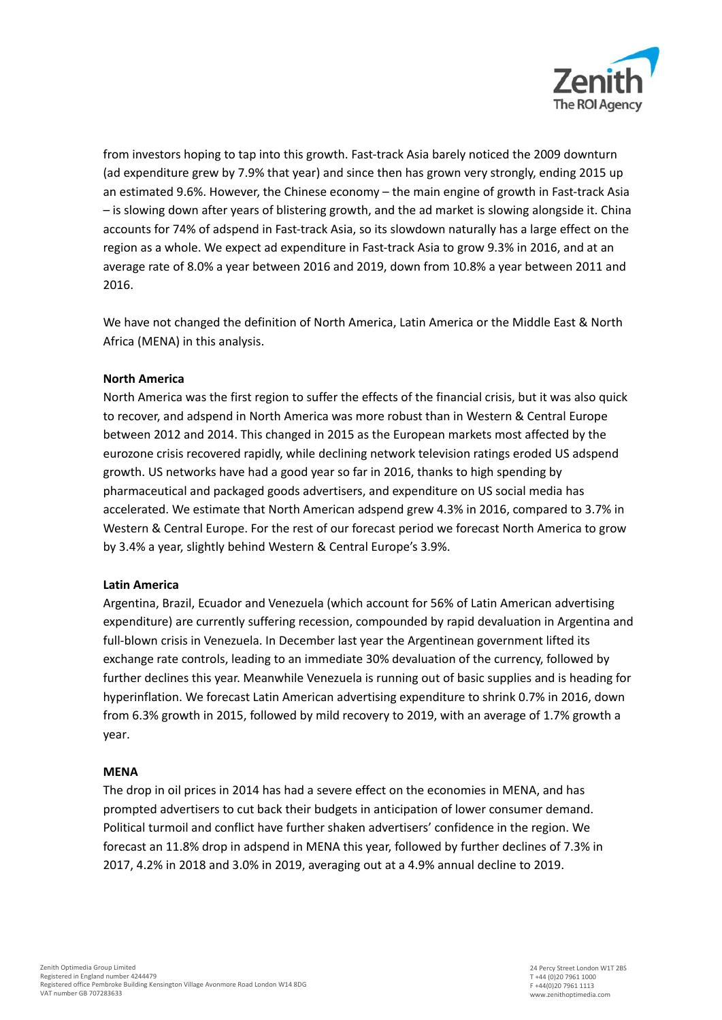

from investors hoping to tap into this growth. Fast-track Asia barely noticed the 2009 downturn (ad expenditure grew by 7.9% that year) and since then has grown very strongly, ending 2015 up an estimated 9.6%. However, the Chinese economy – the main engine of growth in Fast-track Asia – is slowing down after years of blistering growth, and the ad market is slowing alongside it. China accounts for 74% of adspend in Fast-track Asia, so its slowdown naturally has a large effect on the region as a whole. We expect ad expenditure in Fast-track Asia to grow 9.3% in 2016, and at an average rate of 8.0% a year between 2016 and 2019, down from 10.8% a year between 2011 and 2016.

We have not changed the definition of North America, Latin America or the Middle East & North Africa (MENA) in this analysis.

#### **North America**

North America was the first region to suffer the effects of the financial crisis, but it was also quick to recover, and adspend in North America was more robust than in Western & Central Europe between 2012 and 2014. This changed in 2015 as the European markets most affected by the eurozone crisis recovered rapidly, while declining network television ratings eroded US adspend growth. US networks have had a good year so far in 2016, thanks to high spending by pharmaceutical and packaged goods advertisers, and expenditure on US social media has accelerated. We estimate that North American adspend grew 4.3% in 2016, compared to 3.7% in Western & Central Europe. For the rest of our forecast period we forecast North America to grow by 3.4% a year, slightly behind Western & Central Europe's 3.9%.

#### **Latin America**

Argentina, Brazil, Ecuador and Venezuela (which account for 56% of Latin American advertising expenditure) are currently suffering recession, compounded by rapid devaluation in Argentina and full-blown crisis in Venezuela. In December last year the Argentinean government lifted its exchange rate controls, leading to an immediate 30% devaluation of the currency, followed by further declines this year. Meanwhile Venezuela is running out of basic supplies and is heading for hyperinflation. We forecast Latin American advertising expenditure to shrink 0.7% in 2016, down from 6.3% growth in 2015, followed by mild recovery to 2019, with an average of 1.7% growth a year.

#### **MENA**

The drop in oil prices in 2014 has had a severe effect on the economies in MENA, and has prompted advertisers to cut back their budgets in anticipation of lower consumer demand. Political turmoil and conflict have further shaken advertisers' confidence in the region. We forecast an 11.8% drop in adspend in MENA this year, followed by further declines of 7.3% in 2017, 4.2% in 2018 and 3.0% in 2019, averaging out at a 4.9% annual decline to 2019.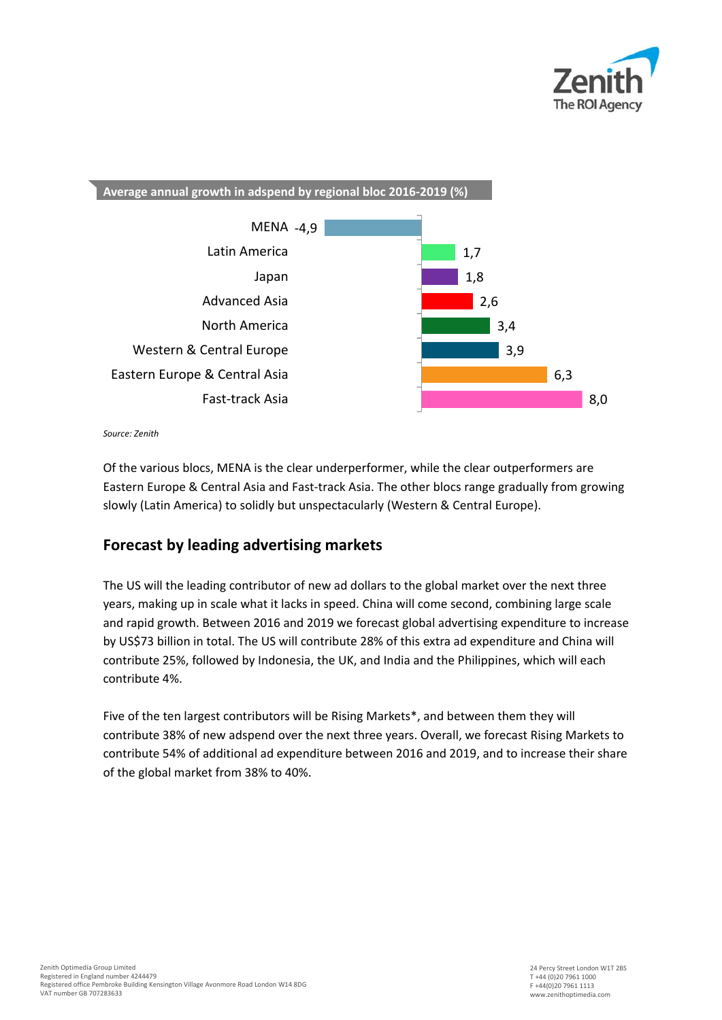



*Source: Zenith* 

Of the various blocs, MENA is the clear underperformer, while the clear outperformers are Eastern Europe & Central Asia and Fast-track Asia. The other blocs range gradually from growing slowly (Latin America) to solidly but unspectacularly (Western & Central Europe).

# **Forecast by leading advertising markets**

The US will the leading contributor of new ad dollars to the global market over the next three years, making up in scale what it lacks in speed. China will come second, combining large scale and rapid growth. Between 2016 and 2019 we forecast global advertising expenditure to increase by US\$73 billion in total. The US will contribute 28% of this extra ad expenditure and China will contribute 25%, followed by Indonesia, the UK, and India and the Philippines, which will each contribute 4%.

Five of the ten largest contributors will be Rising Markets\*, and between them they will contribute 38% of new adspend over the next three years. Overall, we forecast Rising Markets to contribute 54% of additional ad expenditure between 2016 and 2019, and to increase their share of the global market from 38% to 40%.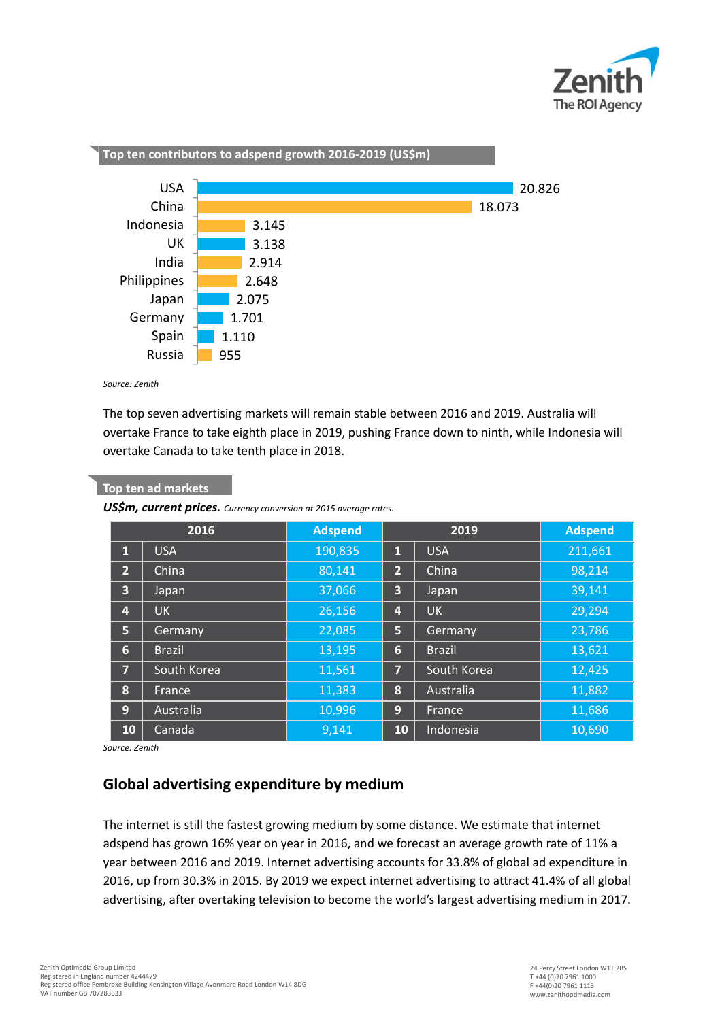



*Source: Zenith* 

**Top ten ad markets**

L

The top seven advertising markets will remain stable between 2016 and 2019. Australia will overtake France to take eighth place in 2019, pushing France down to ninth, while Indonesia will overtake Canada to take tenth place in 2018.

| USSm, current prices. Currency conversion at 2015 average rates. |               |                |                 |               |                |
|------------------------------------------------------------------|---------------|----------------|-----------------|---------------|----------------|
| 2016                                                             |               | <b>Adspend</b> | 2019            |               | <b>Adspend</b> |
| 1                                                                | <b>USA</b>    | 190,835        | $\mathbf{1}$    | <b>USA</b>    | 211,661        |
| $\overline{2}$                                                   | China         | 80,141         | $\overline{2}$  | China         | 98,214         |
| 3                                                                | Japan         | 37,066         | 3               | Japan         | 39,141         |
| 4                                                                | <b>UK</b>     | 26,156         | 4               | <b>UK</b>     | 29,294         |
| 5                                                                | Germany       | 22,085         | 5               | Germany       | 23,786         |
| 6                                                                | <b>Brazil</b> | 13,195         | $6\phantom{1}6$ | <b>Brazil</b> | 13,621         |
| 7                                                                | South Korea   | 11,561         | $\overline{7}$  | South Korea   | 12,425         |
| 8                                                                | France        | 11,383         | 8               | Australia     | 11,882         |
| 9                                                                | Australia     | 10,996         | 9               | France        | 11,686         |
| <b>10</b>                                                        | Canada        | 9,141          | 10              | Indonesia     | 10,690         |

*Source: Zenith* 

## **Global advertising expenditure by medium**

The internet is still the fastest growing medium by some distance. We estimate that internet adspend has grown 16% year on year in 2016, and we forecast an average growth rate of 11% a year between 2016 and 2019. Internet advertising accounts for 33.8% of global ad expenditure in 2016, up from 30.3% in 2015. By 2019 we expect internet advertising to attract 41.4% of all global advertising, after overtaking television to become the world's largest advertising medium in 2017.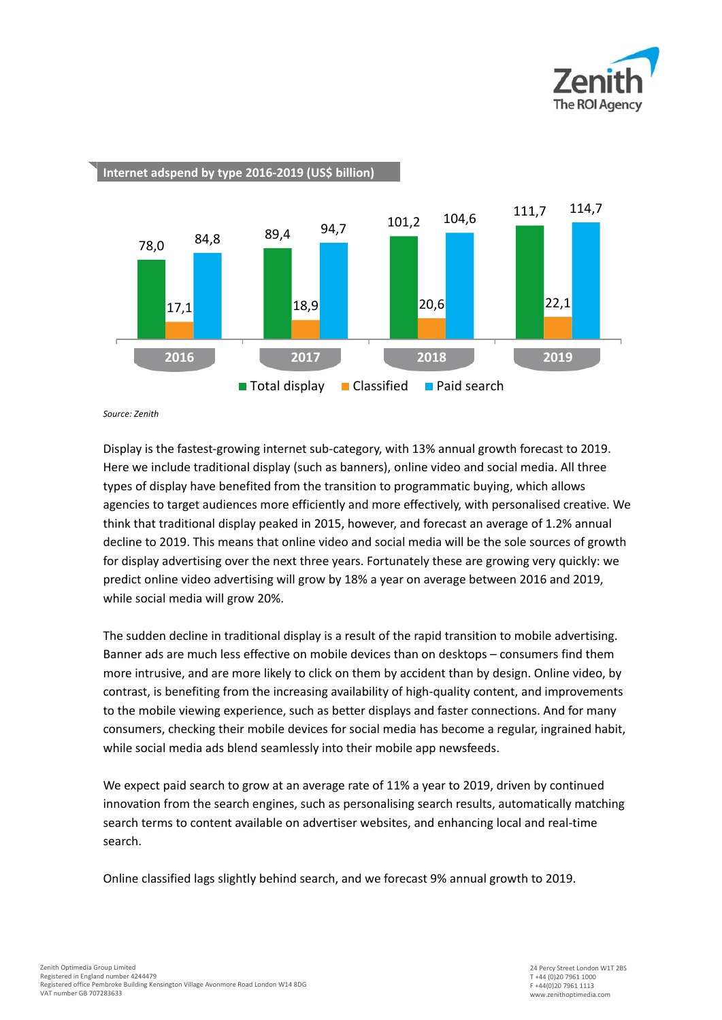



**Internet adspend by type 2016-2019 (US\$ billion)**

*Source: Zenith* 

Display is the fastest-growing internet sub-category, with 13% annual growth forecast to 2019. Here we include traditional display (such as banners), online video and social media. All three types of display have benefited from the transition to programmatic buying, which allows agencies to target audiences more efficiently and more effectively, with personalised creative. We think that traditional display peaked in 2015, however, and forecast an average of 1.2% annual decline to 2019. This means that online video and social media will be the sole sources of growth for display advertising over the next three years. Fortunately these are growing very quickly: we predict online video advertising will grow by 18% a year on average between 2016 and 2019, while social media will grow 20%.

The sudden decline in traditional display is a result of the rapid transition to mobile advertising. Banner ads are much less effective on mobile devices than on desktops – consumers find them more intrusive, and are more likely to click on them by accident than by design. Online video, by contrast, is benefiting from the increasing availability of high-quality content, and improvements to the mobile viewing experience, such as better displays and faster connections. And for many consumers, checking their mobile devices for social media has become a regular, ingrained habit, while social media ads blend seamlessly into their mobile app newsfeeds.

We expect paid search to grow at an average rate of 11% a year to 2019, driven by continued innovation from the search engines, such as personalising search results, automatically matching search terms to content available on advertiser websites, and enhancing local and real-time search.

Online classified lags slightly behind search, and we forecast 9% annual growth to 2019.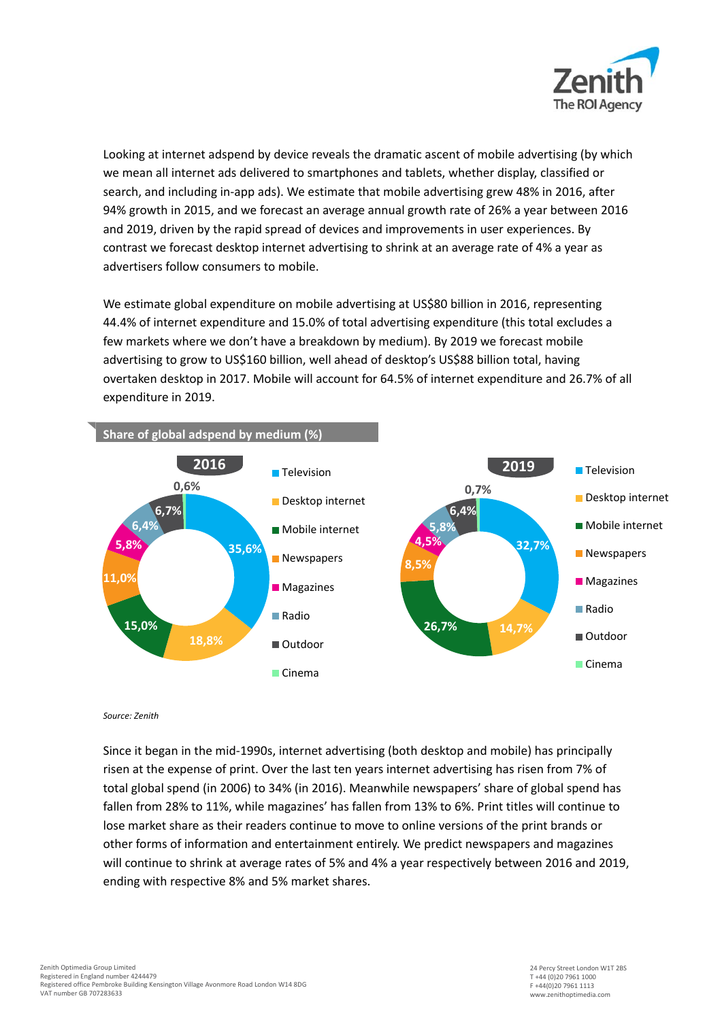

Looking at internet adspend by device reveals the dramatic ascent of mobile advertising (by which we mean all internet ads delivered to smartphones and tablets, whether display, classified or search, and including in-app ads). We estimate that mobile advertising grew 48% in 2016, after 94% growth in 2015, and we forecast an average annual growth rate of 26% a year between 2016 and 2019, driven by the rapid spread of devices and improvements in user experiences. By contrast we forecast desktop internet advertising to shrink at an average rate of 4% a year as advertisers follow consumers to mobile.

We estimate global expenditure on mobile advertising at US\$80 billion in 2016, representing 44.4% of internet expenditure and 15.0% of total advertising expenditure (this total excludes a few markets where we don't have a breakdown by medium). By 2019 we forecast mobile advertising to grow to US\$160 billion, well ahead of desktop's US\$88 billion total, having overtaken desktop in 2017. Mobile will account for 64.5% of internet expenditure and 26.7% of all expenditure in 2019.



*Source: Zenith*

Since it began in the mid-1990s, internet advertising (both desktop and mobile) has principally risen at the expense of print. Over the last ten years internet advertising has risen from 7% of total global spend (in 2006) to 34% (in 2016). Meanwhile newspapers' share of global spend has fallen from 28% to 11%, while magazines' has fallen from 13% to 6%. Print titles will continue to lose market share as their readers continue to move to online versions of the print brands or other forms of information and entertainment entirely. We predict newspapers and magazines will continue to shrink at average rates of 5% and 4% a year respectively between 2016 and 2019, ending with respective 8% and 5% market shares.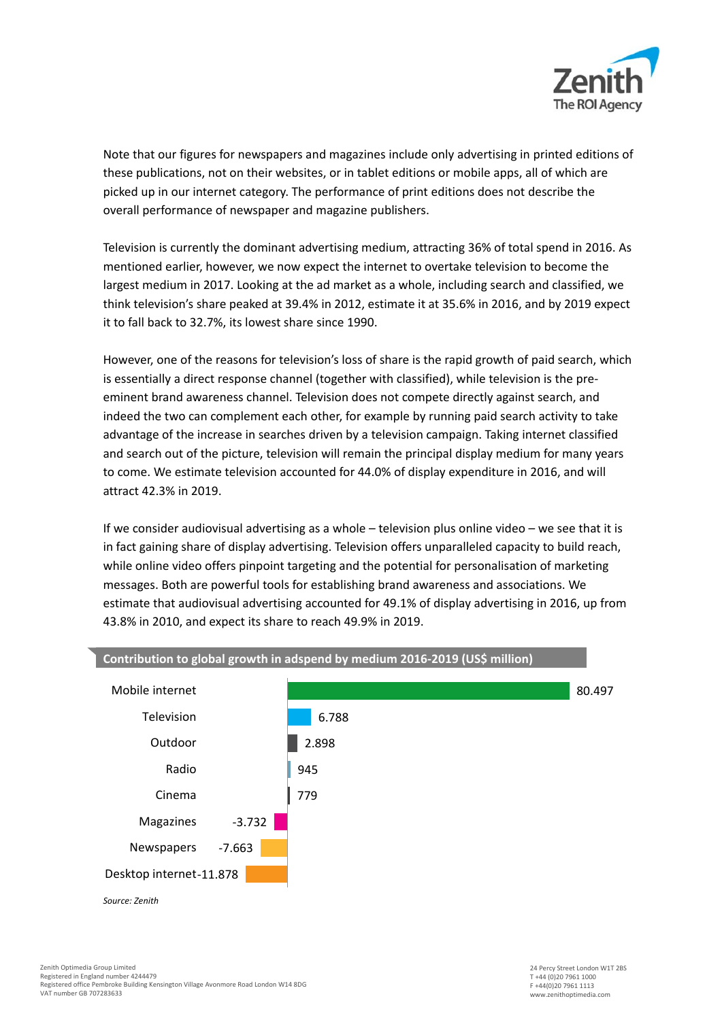

Note that our figures for newspapers and magazines include only advertising in printed editions of these publications, not on their websites, or in tablet editions or mobile apps, all of which are picked up in our internet category. The performance of print editions does not describe the overall performance of newspaper and magazine publishers.

Television is currently the dominant advertising medium, attracting 36% of total spend in 2016. As mentioned earlier, however, we now expect the internet to overtake television to become the largest medium in 2017. Looking at the ad market as a whole, including search and classified, we think television's share peaked at 39.4% in 2012, estimate it at 35.6% in 2016, and by 2019 expect it to fall back to 32.7%, its lowest share since 1990.

However, one of the reasons for television's loss of share is the rapid growth of paid search, which is essentially a direct response channel (together with classified), while television is the preeminent brand awareness channel. Television does not compete directly against search, and indeed the two can complement each other, for example by running paid search activity to take advantage of the increase in searches driven by a television campaign. Taking internet classified and search out of the picture, television will remain the principal display medium for many years to come. We estimate television accounted for 44.0% of display expenditure in 2016, and will attract 42.3% in 2019.

If we consider audiovisual advertising as a whole – television plus online video – we see that it is in fact gaining share of display advertising. Television offers unparalleled capacity to build reach, while online video offers pinpoint targeting and the potential for personalisation of marketing messages. Both are powerful tools for establishing brand awareness and associations. We estimate that audiovisual advertising accounted for 49.1% of display advertising in 2016, up from 43.8% in 2010, and expect its share to reach 49.9% in 2019.



## **Contribution to global growth in adspend by medium 2016-2019 (US\$ million)**